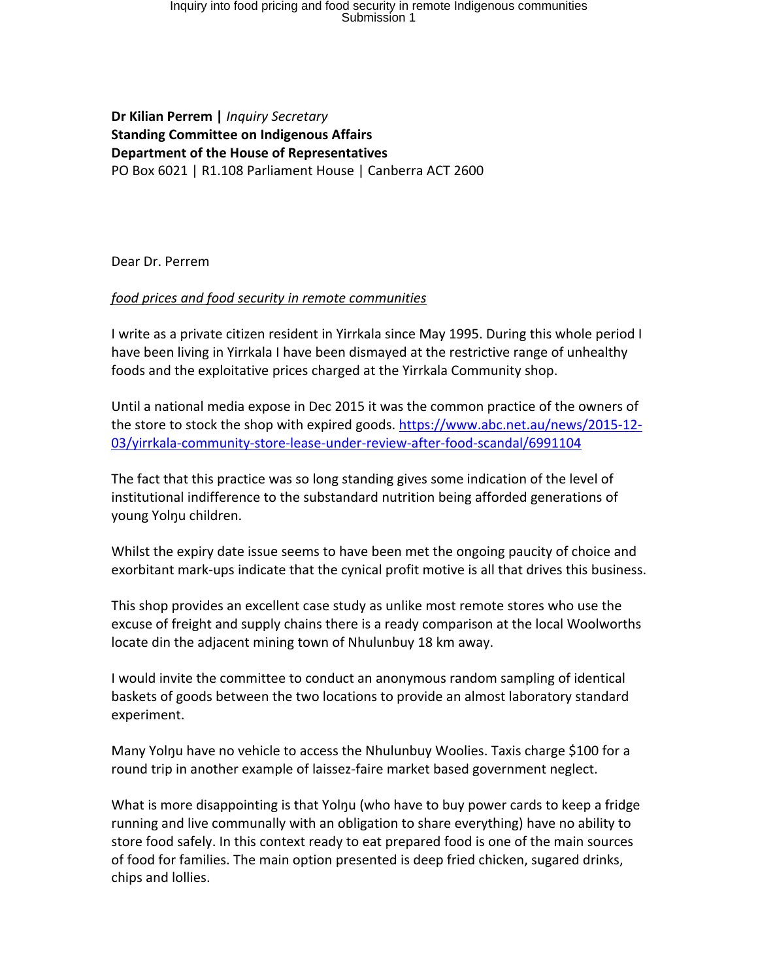## Inquiry into food pricing and food security in remote Indigenous communities Submission 1

**Dr Kilian Perrem |** *Inquiry Secretary* **Standing Committee on Indigenous Affairs Department of the House of Representatives** PO Box 6021 | R1.108 Parliament House | Canberra ACT 2600

Dear Dr. Perrem

## *food prices and food security in remote communities*

I write as a private citizen resident in Yirrkala since May 1995. During this whole period I have been living in Yirrkala I have been dismayed at the restrictive range of unhealthy foods and the exploitative prices charged at the Yirrkala Community shop.

Until a national media expose in Dec 2015 it was the common practice of the owners of the store to stock the shop with expired goods. [https://www.abc.net.au/news/2015-12-](https://www.abc.net.au/news/2015-12-03/yirrkala-community-store-lease-under-review-after-food-scandal/6991104) [03/yirrkala-community-store-lease-under-review-after-food-scandal/6991104](https://www.abc.net.au/news/2015-12-03/yirrkala-community-store-lease-under-review-after-food-scandal/6991104)

The fact that this practice was so long standing gives some indication of the level of institutional indifference to the substandard nutrition being afforded generations of young Yolŋu children.

Whilst the expiry date issue seems to have been met the ongoing paucity of choice and exorbitant mark-ups indicate that the cynical profit motive is all that drives this business.

This shop provides an excellent case study as unlike most remote stores who use the excuse of freight and supply chains there is a ready comparison at the local Woolworths locate din the adjacent mining town of Nhulunbuy 18 km away.

I would invite the committee to conduct an anonymous random sampling of identical baskets of goods between the two locations to provide an almost laboratory standard experiment.

Many Yolnu have no vehicle to access the Nhulunbuy Woolies. Taxis charge \$100 for a round trip in another example of laissez-faire market based government neglect.

What is more disappointing is that Yolnu (who have to buy power cards to keep a fridge running and live communally with an obligation to share everything) have no ability to store food safely. In this context ready to eat prepared food is one of the main sources of food for families. The main option presented is deep fried chicken, sugared drinks, chips and lollies.